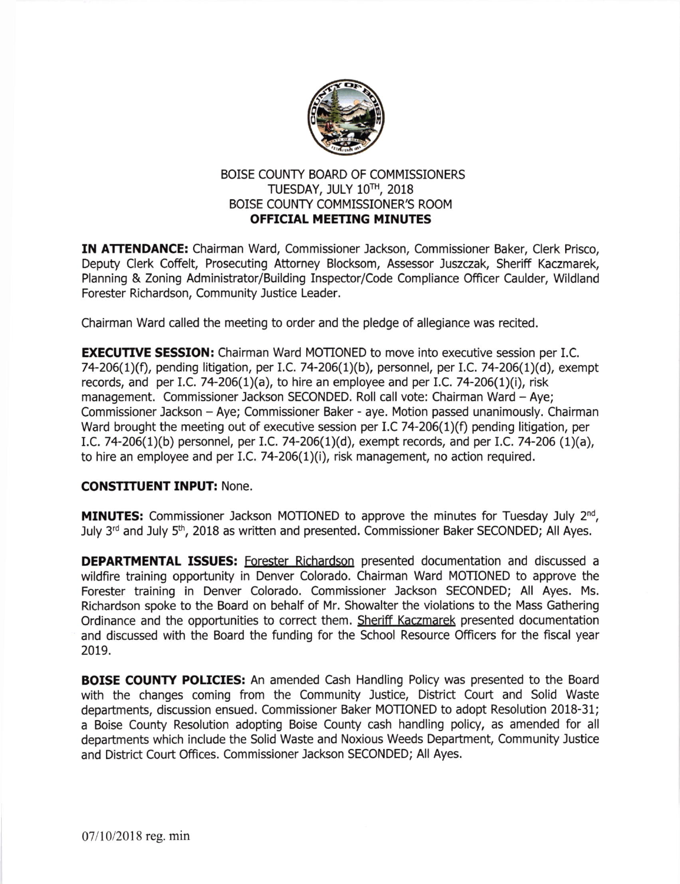

## BOISE COUNTY BOARD OF COMMISSIONERS TUESDAY, JULY 1OTH, 2018 BOISE COUNTY COMMISSIONER'S ROOM OFFICIAL MEETING MINUTES

IN ATTENDANCE: Chairman Ward, Commissioner Jackson, Commissioner Baker, Clerk Prisco, Deputy Clerk Coffelt, Prosecuting Attorney Blocksom, Assessor Juszczak, Sheriff Kaczmarek, Planning & Zoning Administrator/Building Inspector/Code Compliance Officer Caulder, Wildland Forester Richardson, Community Justice Leader.

Chairman Ward called the meeting to order and the pledge of allegiance was recited.

**EXECUTIVE SESSION:** Chairman Ward MOTIONED to move into executive session per I.C. 74-206(1)(f), pending litigation, per I.C. 74-206(1)(b), personnel, per I.C. 74-206(1)(d), exempt records, and per I.C. 74-206(1)(a), to hire an employee and per I.C. 74-206(1)(i), risk management. Commissioner Jackson SECONDED. Roll call vote: Chairman Ward - Aye; Commissioner Jackson - Aye; Commlssioner Baker - aye. Motion passed unanimously. Chairman Ward brought the meeting out of executive session per I.C 74-206(1)(f) pending litigation, per LC. 74-206(1)(b) personnel, per 1.C.74-206(1)(d), exempt records, and per I.C. 7a-206 (1)(a), to hire an employee and per I.C. 74-206 $(1)(i)$ , risk management, no action required.

## CONSTITUENT INPUT: None.

**MINUTES:** Commissioner Jackson MOTIONED to approve the minutes for Tuesday July  $2^{nd}$ , July 3<sup>rd</sup> and July 5<sup>th</sup>, 2018 as written and presented. Commissioner Baker SECONDED; All Ayes.

DEPARTMENTAL ISSUES: Forester Richardson presented documentation and discussed a wildfire training oppotunity in Denver Colorado. Chairman Ward MOTIONED to approve the Forester training in Denver Colorado. Commissioner Jackson SECONDED; All Ayes. Ms. Richardson spoke to the Board on behalf of Mr. Showalter the violations to the Mass Gathering Ordinance and the opportunities to correct them. Sheriff Kaczmarek presented documentation and discussed with the Board the funding for the School Resource Officers for the fiscal year 2019.

**BOISE COUNTY POLICIES:** An amended Cash Handling Policy was presented to the Board with the changes coming from the Community Justice, District Court and Solid Waste departments, discussion ensued. Commissioner Baker MOTIONED to adopt Resolution 2018-31; a Boise County Resolution adopting Boise County cash handling policy, as amended for all depatments which include the Solid Waste and Noxious Weeds Department, Community Justice and District Court Offices. Commissioner lackson SECONDED; All Ayes.